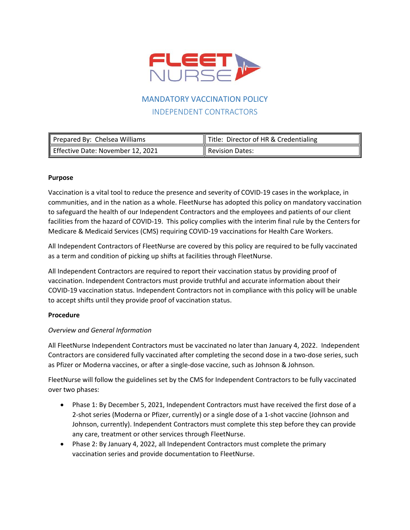

# MANDATORY VACCINATION POLICY INDEPENDENT CONTRACTORS

| Prepared By: Chelsea Williams     | ∥<br>$\parallel$ Title: Director of HR & Credentialing |
|-----------------------------------|--------------------------------------------------------|
| Effective Date: November 12, 2021 | 11<br>Revision Dates:                                  |

### **Purpose**

Vaccination is a vital tool to reduce the presence and severity of COVID-19 cases in the workplace, in communities, and in the nation as a whole. FleetNurse has adopted this policy on mandatory vaccination to safeguard the health of our Independent Contractors and the employees and patients of our client facilities from the hazard of COVID-19. This policy complies with the interim final rule by the Centers for Medicare & Medicaid Services (CMS) requiring COVID-19 vaccinations for Health Care Workers.

All Independent Contractors of FleetNurse are covered by this policy are required to be fully vaccinated as a term and condition of picking up shifts at facilities through FleetNurse.

All Independent Contractors are required to report their vaccination status by providing proof of vaccination. Independent Contractors must provide truthful and accurate information about their COVID-19 vaccination status. Independent Contractors not in compliance with this policy will be unable to accept shifts until they provide proof of vaccination status.

### **Procedure**

### *Overview and General Information*

All FleetNurse Independent Contractors must be vaccinated no later than January 4, 2022. Independent Contractors are considered fully vaccinated after completing the second dose in a two-dose series, such as Pfizer or Moderna vaccines, or after a single-dose vaccine, such as Johnson & Johnson.

FleetNurse will follow the guidelines set by the CMS for Independent Contractors to be fully vaccinated over two phases:

- Phase 1: By December 5, 2021, Independent Contractors must have received the first dose of a 2-shot series (Moderna or Pfizer, currently) or a single dose of a 1-shot vaccine (Johnson and Johnson, currently). Independent Contractors must complete this step before they can provide any care, treatment or other services through FleetNurse.
- Phase 2: By January 4, 2022, all Independent Contractors must complete the primary vaccination series and provide documentation to FleetNurse.